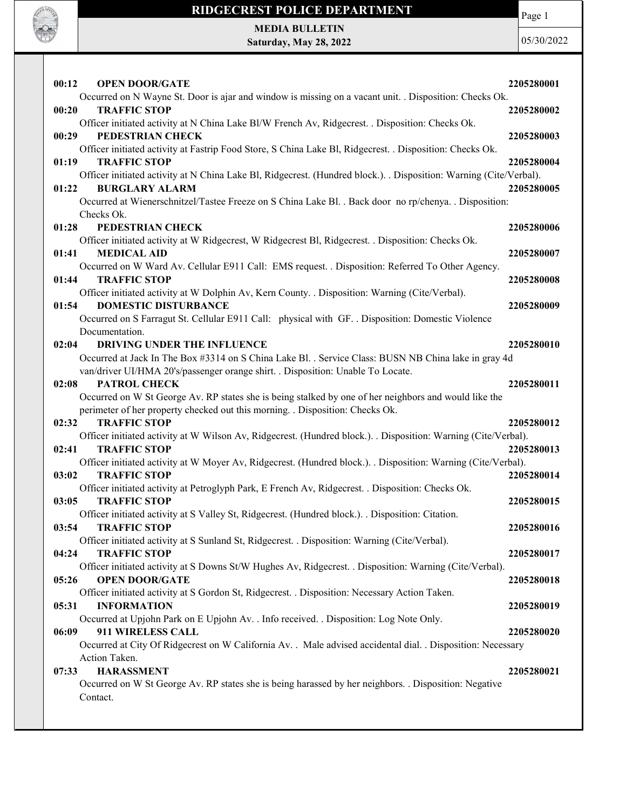

Page 1

MEDIA BULLETIN Saturday, May 28, 2022

| 00:12 | <b>OPEN DOOR/GATE</b>                                                                                                    | 2205280001 |
|-------|--------------------------------------------------------------------------------------------------------------------------|------------|
|       | Occurred on N Wayne St. Door is ajar and window is missing on a vacant unit. . Disposition: Checks Ok.                   |            |
| 00:20 | <b>TRAFFIC STOP</b>                                                                                                      | 2205280002 |
|       | Officer initiated activity at N China Lake Bl/W French Av, Ridgecrest. . Disposition: Checks Ok.                         |            |
| 00:29 | PEDESTRIAN CHECK                                                                                                         | 2205280003 |
|       | Officer initiated activity at Fastrip Food Store, S China Lake Bl, Ridgecrest. . Disposition: Checks Ok.                 |            |
| 01:19 | <b>TRAFFIC STOP</b>                                                                                                      | 2205280004 |
|       | Officer initiated activity at N China Lake Bl, Ridgecrest. (Hundred block.). . Disposition: Warning (Cite/Verbal).       |            |
| 01:22 | <b>BURGLARY ALARM</b>                                                                                                    | 2205280005 |
|       | Occurred at Wienerschnitzel/Tastee Freeze on S China Lake Bl. . Back door no rp/chenya. . Disposition:<br>Checks Ok.     |            |
| 01:28 | PEDESTRIAN CHECK                                                                                                         | 2205280006 |
|       | Officer initiated activity at W Ridgecrest, W Ridgecrest Bl, Ridgecrest. . Disposition: Checks Ok.                       |            |
| 01:41 | <b>MEDICAL AID</b>                                                                                                       | 2205280007 |
|       | Occurred on W Ward Av. Cellular E911 Call: EMS request. . Disposition: Referred To Other Agency.                         |            |
| 01:44 | <b>TRAFFIC STOP</b>                                                                                                      | 2205280008 |
|       | Officer initiated activity at W Dolphin Av, Kern County. . Disposition: Warning (Cite/Verbal).                           |            |
| 01:54 | <b>DOMESTIC DISTURBANCE</b>                                                                                              | 2205280009 |
|       | Occurred on S Farragut St. Cellular E911 Call: physical with GF. . Disposition: Domestic Violence                        |            |
|       | Documentation.                                                                                                           |            |
| 02:04 | <b>DRIVING UNDER THE INFLUENCE</b>                                                                                       | 2205280010 |
|       | Occurred at Jack In The Box #3314 on S China Lake Bl. . Service Class: BUSN NB China lake in gray 4d                     |            |
|       | van/driver UI/HMA 20's/passenger orange shirt. . Disposition: Unable To Locate.                                          |            |
| 02:08 | PATROL CHECK                                                                                                             | 2205280011 |
|       | Occurred on W St George Av. RP states she is being stalked by one of her neighbors and would like the                    |            |
|       | perimeter of her property checked out this morning. . Disposition: Checks Ok.                                            |            |
| 02:32 | <b>TRAFFIC STOP</b>                                                                                                      | 2205280012 |
|       | Officer initiated activity at W Wilson Av, Ridgecrest. (Hundred block.). . Disposition: Warning (Cite/Verbal).           |            |
| 02:41 | <b>TRAFFIC STOP</b>                                                                                                      | 2205280013 |
|       | Officer initiated activity at W Moyer Av, Ridgecrest. (Hundred block.). . Disposition: Warning (Cite/Verbal).            |            |
| 03:02 | <b>TRAFFIC STOP</b>                                                                                                      | 2205280014 |
| 03:05 | Officer initiated activity at Petroglyph Park, E French Av, Ridgecrest. . Disposition: Checks Ok.<br><b>TRAFFIC STOP</b> |            |
|       | Officer initiated activity at S Valley St, Ridgecrest. (Hundred block.). . Disposition: Citation.                        | 2205280015 |
| 03:54 | <b>TRAFFIC STOP</b>                                                                                                      | 2205280016 |
|       | Officer initiated activity at S Sunland St, Ridgecrest. . Disposition: Warning (Cite/Verbal).                            |            |
| 04:24 | <b>TRAFFIC STOP</b>                                                                                                      | 2205280017 |
|       | Officer initiated activity at S Downs St/W Hughes Av, Ridgecrest. . Disposition: Warning (Cite/Verbal).                  |            |
| 05:26 | <b>OPEN DOOR/GATE</b>                                                                                                    | 2205280018 |
|       | Officer initiated activity at S Gordon St, Ridgecrest. . Disposition: Necessary Action Taken.                            |            |
| 05:31 | <b>INFORMATION</b>                                                                                                       | 2205280019 |
|       | Occurred at Upjohn Park on E Upjohn Av. . Info received. . Disposition: Log Note Only.                                   |            |
| 06:09 | 911 WIRELESS CALL                                                                                                        | 2205280020 |
|       | Occurred at City Of Ridgecrest on W California Av. . Male advised accidental dial. . Disposition: Necessary              |            |
|       | Action Taken.                                                                                                            |            |
| 07:33 | <b>HARASSMENT</b>                                                                                                        | 2205280021 |
|       | Occurred on W St George Av. RP states she is being harassed by her neighbors. . Disposition: Negative                    |            |
|       | Contact.                                                                                                                 |            |
|       |                                                                                                                          |            |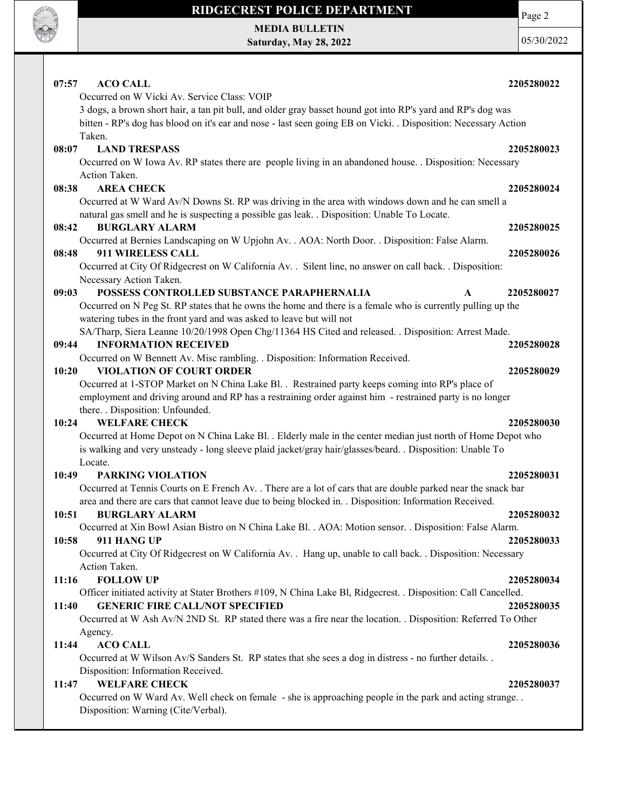

MEDIA BULLETIN Saturday, May 28, 2022 Page 2

| 07:57<br><b>ACO CALL</b>                                                                                        | 2205280022 |
|-----------------------------------------------------------------------------------------------------------------|------------|
| Occurred on W Vicki Av. Service Class: VOIP                                                                     |            |
| 3 dogs, a brown short hair, a tan pit bull, and older gray basset hound got into RP's yard and RP's dog was     |            |
| bitten - RP's dog has blood on it's ear and nose - last seen going EB on Vicki. . Disposition: Necessary Action |            |
| Taken.                                                                                                          |            |
| <b>LAND TRESPASS</b><br>08:07                                                                                   | 2205280023 |
| Occurred on W Iowa Av. RP states there are people living in an abandoned house. . Disposition: Necessary        |            |
| Action Taken.                                                                                                   |            |
| <b>AREA CHECK</b><br>08:38                                                                                      | 2205280024 |
| Occurred at W Ward Av/N Downs St. RP was driving in the area with windows down and he can smell a               |            |
| natural gas smell and he is suspecting a possible gas leak. . Disposition: Unable To Locate.                    |            |
| 08:42<br><b>BURGLARY ALARM</b>                                                                                  | 2205280025 |
| Occurred at Bernies Landscaping on W Upjohn Av. . AOA: North Door. . Disposition: False Alarm.                  |            |
| 911 WIRELESS CALL<br>08:48                                                                                      | 2205280026 |
| Occurred at City Of Ridgecrest on W California Av. . Silent line, no answer on call back. . Disposition:        |            |
| Necessary Action Taken.                                                                                         |            |
| POSSESS CONTROLLED SUBSTANCE PARAPHERNALIA<br>09:03<br>$\mathbf{A}$                                             | 2205280027 |
| Occurred on N Peg St. RP states that he owns the home and there is a female who is currently pulling up the     |            |
| watering tubes in the front yard and was asked to leave but will not                                            |            |
| SA/Tharp, Siera Leanne 10/20/1998 Open Chg/11364 HS Cited and released. . Disposition: Arrest Made.             |            |
| <b>INFORMATION RECEIVED</b><br>09:44                                                                            | 2205280028 |
| Occurred on W Bennett Av. Misc rambling. . Disposition: Information Received.                                   |            |
| <b>VIOLATION OF COURT ORDER</b><br>10:20                                                                        | 2205280029 |
| Occurred at 1-STOP Market on N China Lake Bl. . Restrained party keeps coming into RP's place of                |            |
| employment and driving around and RP has a restraining order against him - restrained party is no longer        |            |
| there. . Disposition: Unfounded.                                                                                |            |
| <b>WELFARE CHECK</b><br>10:24                                                                                   | 2205280030 |
| Occurred at Home Depot on N China Lake Bl. . Elderly male in the center median just north of Home Depot who     |            |
| is walking and very unsteady - long sleeve plaid jacket/gray hair/glasses/beard. . Disposition: Unable To       |            |
| Locate.                                                                                                         |            |
| <b>PARKING VIOLATION</b><br>10:49                                                                               | 2205280031 |
| Occurred at Tennis Courts on E French Av. . There are a lot of cars that are double parked near the snack bar   |            |
| area and there are cars that cannot leave due to being blocked in. . Disposition: Information Received.         |            |
| 10:51<br><b>BURGLARY ALARM</b>                                                                                  | 2205280032 |
| Occurred at Xin Bowl Asian Bistro on N China Lake Bl. . AOA: Motion sensor. . Disposition: False Alarm.         |            |
| 10:58<br>911 HANG UP                                                                                            | 2205280033 |
| Occurred at City Of Ridgecrest on W California Av. . Hang up, unable to call back. . Disposition: Necessary     |            |
| Action Taken.                                                                                                   |            |
| <b>FOLLOW UP</b><br>11:16                                                                                       | 2205280034 |
| Officer initiated activity at Stater Brothers #109, N China Lake Bl, Ridgecrest. . Disposition: Call Cancelled. |            |
| <b>GENERIC FIRE CALL/NOT SPECIFIED</b><br>11:40                                                                 | 2205280035 |
| Occurred at W Ash Av/N 2ND St. RP stated there was a fire near the location. . Disposition: Referred To Other   |            |
| Agency.                                                                                                         |            |
| <b>ACO CALL</b><br>11:44                                                                                        | 2205280036 |
| Occurred at W Wilson Av/S Sanders St. RP states that she sees a dog in distress - no further details. .         |            |
| Disposition: Information Received.                                                                              |            |
| <b>WELFARE CHECK</b><br>11:47                                                                                   | 2205280037 |
| Occurred on W Ward Av. Well check on female - she is approaching people in the park and acting strange          |            |
| Disposition: Warning (Cite/Verbal).                                                                             |            |
|                                                                                                                 |            |
|                                                                                                                 |            |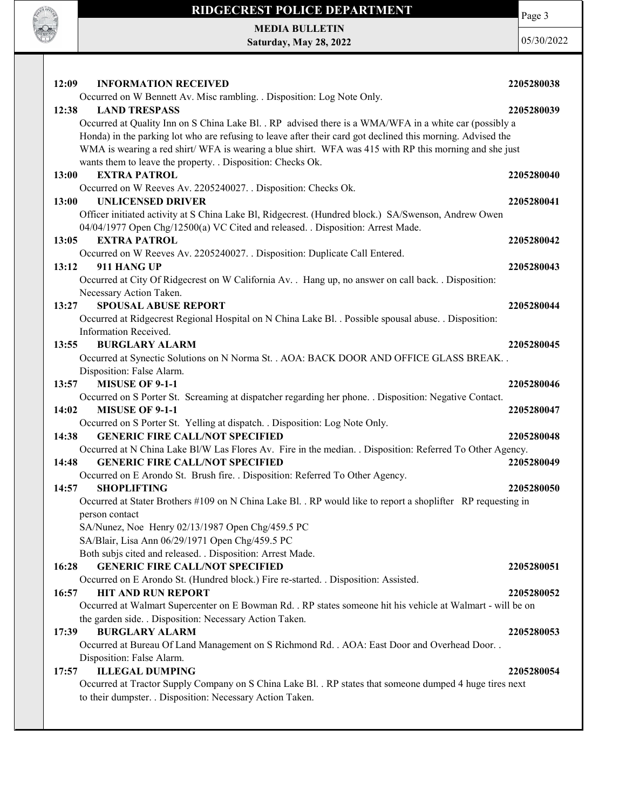

MEDIA BULLETIN Saturday, May 28, 2022

**CONTRACTOR** 

| <b>INFORMATION RECEIVED</b><br>12:09                                                                                      | 2205280038 |
|---------------------------------------------------------------------------------------------------------------------------|------------|
| Occurred on W Bennett Av. Misc rambling. . Disposition: Log Note Only.                                                    |            |
| 12:38<br><b>LAND TRESPASS</b>                                                                                             | 2205280039 |
| Occurred at Quality Inn on S China Lake Bl. . RP advised there is a WMA/WFA in a white car (possibly a                    |            |
| Honda) in the parking lot who are refusing to leave after their card got declined this morning. Advised the               |            |
| WMA is wearing a red shirt/ WFA is wearing a blue shirt. WFA was 415 with RP this morning and she just                    |            |
| wants them to leave the property. . Disposition: Checks Ok.                                                               |            |
| <b>EXTRA PATROL</b><br>13:00                                                                                              | 2205280040 |
| Occurred on W Reeves Av. 2205240027. . Disposition: Checks Ok.                                                            |            |
| <b>UNLICENSED DRIVER</b><br>13:00                                                                                         | 2205280041 |
| Officer initiated activity at S China Lake Bl, Ridgecrest. (Hundred block.) SA/Swenson, Andrew Owen                       |            |
| 04/04/1977 Open Chg/12500(a) VC Cited and released. . Disposition: Arrest Made.                                           |            |
| <b>EXTRA PATROL</b><br>13:05                                                                                              | 2205280042 |
| Occurred on W Reeves Av. 2205240027. . Disposition: Duplicate Call Entered.                                               |            |
| 13:12<br>911 HANG UP                                                                                                      | 2205280043 |
| Occurred at City Of Ridgecrest on W California Av. . Hang up, no answer on call back. . Disposition:                      |            |
| Necessary Action Taken.                                                                                                   |            |
| <b>SPOUSAL ABUSE REPORT</b><br>13:27                                                                                      | 2205280044 |
| Occurred at Ridgecrest Regional Hospital on N China Lake Bl. . Possible spousal abuse. . Disposition:                     |            |
| Information Received.                                                                                                     |            |
| <b>BURGLARY ALARM</b><br>13:55                                                                                            | 2205280045 |
| Occurred at Synectic Solutions on N Norma St. . AOA: BACK DOOR AND OFFICE GLASS BREAK                                     |            |
| Disposition: False Alarm.                                                                                                 |            |
| <b>MISUSE OF 9-1-1</b><br>13:57                                                                                           | 2205280046 |
| Occurred on S Porter St. Screaming at dispatcher regarding her phone. . Disposition: Negative Contact.                    |            |
| <b>MISUSE OF 9-1-1</b><br>14:02                                                                                           | 2205280047 |
| Occurred on S Porter St. Yelling at dispatch. . Disposition: Log Note Only.                                               |            |
| <b>GENERIC FIRE CALL/NOT SPECIFIED</b><br>14:38                                                                           | 2205280048 |
| Occurred at N China Lake Bl/W Las Flores Av. Fire in the median. . Disposition: Referred To Other Agency.                 |            |
| <b>GENERIC FIRE CALL/NOT SPECIFIED</b><br>14:48                                                                           | 2205280049 |
| Occurred on E Arondo St. Brush fire. . Disposition: Referred To Other Agency.                                             |            |
| <b>SHOPLIFTING</b><br>14:57                                                                                               | 2205280050 |
| Occurred at Stater Brothers #109 on N China Lake Bl. . RP would like to report a shoplifter RP requesting in              |            |
| person contact                                                                                                            |            |
| SA/Nunez, Noe Henry 02/13/1987 Open Chg/459.5 PC                                                                          |            |
| SA/Blair, Lisa Ann 06/29/1971 Open Chg/459.5 PC<br>Both subjs cited and released. . Disposition: Arrest Made.             |            |
| <b>GENERIC FIRE CALL/NOT SPECIFIED</b><br>16:28                                                                           | 2205280051 |
|                                                                                                                           |            |
| Occurred on E Arondo St. (Hundred block.) Fire re-started. . Disposition: Assisted.<br><b>HIT AND RUN REPORT</b><br>16:57 |            |
| Occurred at Walmart Supercenter on E Bowman Rd. . RP states someone hit his vehicle at Walmart - will be on               | 2205280052 |
| the garden side. . Disposition: Necessary Action Taken.                                                                   |            |
| <b>BURGLARY ALARM</b><br>17:39                                                                                            | 2205280053 |
| Occurred at Bureau Of Land Management on S Richmond Rd. . AOA: East Door and Overhead Door. .                             |            |
| Disposition: False Alarm.                                                                                                 |            |
| <b>ILLEGAL DUMPING</b><br>17:57                                                                                           | 2205280054 |
| Occurred at Tractor Supply Company on S China Lake Bl. . RP states that someone dumped 4 huge tires next                  |            |
| to their dumpster. . Disposition: Necessary Action Taken.                                                                 |            |
|                                                                                                                           |            |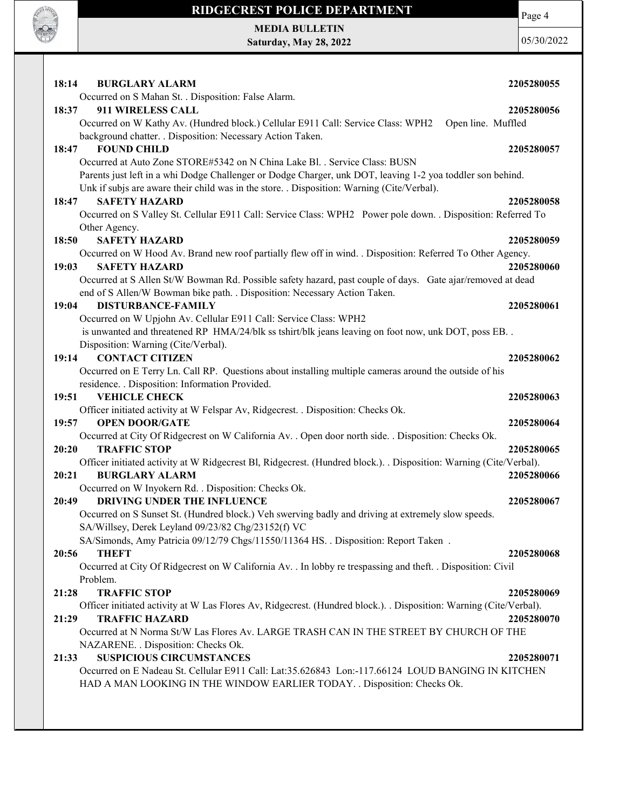

Page 4

MEDIA BULLETIN Saturday, May 28, 2022

| 18:14<br><b>BURGLARY ALARM</b>                                                                                     | 2205280055 |
|--------------------------------------------------------------------------------------------------------------------|------------|
| Occurred on S Mahan St. . Disposition: False Alarm.                                                                |            |
| 911 WIRELESS CALL<br>18:37                                                                                         | 2205280056 |
| Occurred on W Kathy Av. (Hundred block.) Cellular E911 Call: Service Class: WPH2<br>Open line. Muffled             |            |
| background chatter. . Disposition: Necessary Action Taken.                                                         |            |
| <b>FOUND CHILD</b><br>18:47                                                                                        | 2205280057 |
| Occurred at Auto Zone STORE#5342 on N China Lake Bl. . Service Class: BUSN                                         |            |
| Parents just left in a whi Dodge Challenger or Dodge Charger, unk DOT, leaving 1-2 yoa toddler son behind.         |            |
| Unk if subjs are aware their child was in the store. . Disposition: Warning (Cite/Verbal).                         |            |
| <b>SAFETY HAZARD</b><br>18:47                                                                                      | 2205280058 |
| Occurred on S Valley St. Cellular E911 Call: Service Class: WPH2 Power pole down. . Disposition: Referred To       |            |
| Other Agency.                                                                                                      |            |
| <b>SAFETY HAZARD</b><br>18:50                                                                                      | 2205280059 |
| Occurred on W Hood Av. Brand new roof partially flew off in wind. . Disposition: Referred To Other Agency.         |            |
| 19:03<br><b>SAFETY HAZARD</b>                                                                                      | 2205280060 |
| Occurred at S Allen St/W Bowman Rd. Possible safety hazard, past couple of days. Gate ajar/removed at dead         |            |
| end of S Allen/W Bowman bike path. . Disposition: Necessary Action Taken.                                          |            |
| 19:04<br><b>DISTURBANCE-FAMILY</b>                                                                                 | 2205280061 |
| Occurred on W Upjohn Av. Cellular E911 Call: Service Class: WPH2                                                   |            |
| is unwanted and threatened RP HMA/24/blk ss tshirt/blk jeans leaving on foot now, unk DOT, poss EB. .              |            |
| Disposition: Warning (Cite/Verbal).                                                                                |            |
| <b>CONTACT CITIZEN</b><br>19:14                                                                                    | 2205280062 |
| Occurred on E Terry Ln. Call RP. Questions about installing multiple cameras around the outside of his             |            |
| residence. . Disposition: Information Provided.                                                                    |            |
| <b>VEHICLE CHECK</b><br>19:51                                                                                      | 2205280063 |
| Officer initiated activity at W Felspar Av, Ridgecrest. . Disposition: Checks Ok.                                  |            |
| <b>OPEN DOOR/GATE</b><br>19:57                                                                                     | 2205280064 |
| Occurred at City Of Ridgecrest on W California Av. . Open door north side. . Disposition: Checks Ok.               |            |
| <b>TRAFFIC STOP</b><br>20:20                                                                                       | 2205280065 |
| Officer initiated activity at W Ridgecrest Bl, Ridgecrest. (Hundred block.). . Disposition: Warning (Cite/Verbal). |            |
| 20:21<br><b>BURGLARY ALARM</b>                                                                                     | 2205280066 |
| Occurred on W Inyokern Rd. . Disposition: Checks Ok.                                                               |            |
| 20:49<br><b>DRIVING UNDER THE INFLUENCE</b>                                                                        | 2205280067 |
| Occurred on S Sunset St. (Hundred block.) Veh swerving badly and driving at extremely slow speeds.                 |            |
| SA/Willsey, Derek Leyland 09/23/82 Chg/23152(f) VC                                                                 |            |
| SA/Simonds, Amy Patricia 09/12/79 Chgs/11550/11364 HS. . Disposition: Report Taken.                                |            |
| <b>THEFT</b><br>20:56                                                                                              | 2205280068 |
| Occurred at City Of Ridgecrest on W California Av. . In lobby re trespassing and theft. . Disposition: Civil       |            |
| Problem.                                                                                                           |            |
| <b>TRAFFIC STOP</b><br>21:28                                                                                       | 2205280069 |
| Officer initiated activity at W Las Flores Av, Ridgecrest. (Hundred block.). . Disposition: Warning (Cite/Verbal). |            |
| <b>TRAFFIC HAZARD</b><br>21:29                                                                                     | 2205280070 |
| Occurred at N Norma St/W Las Flores Av. LARGE TRASH CAN IN THE STREET BY CHURCH OF THE                             |            |
| NAZARENE. . Disposition: Checks Ok.                                                                                |            |
| <b>SUSPICIOUS CIRCUMSTANCES</b><br>21:33                                                                           | 2205280071 |
| Occurred on E Nadeau St. Cellular E911 Call: Lat:35.626843 Lon:-117.66124 LOUD BANGING IN KITCHEN                  |            |
| HAD A MAN LOOKING IN THE WINDOW EARLIER TODAY. . Disposition: Checks Ok.                                           |            |
|                                                                                                                    |            |
|                                                                                                                    |            |